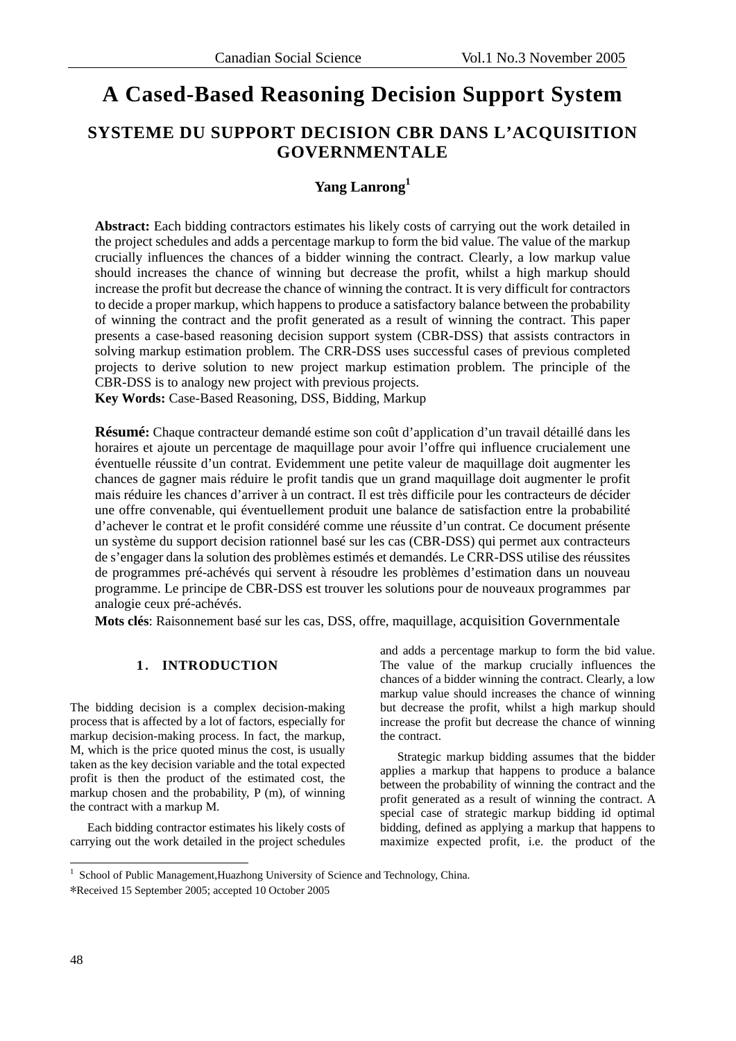# **A Cased-Based Reasoning Decision Support System**

# **SYSTEME DU SUPPORT DECISION CBR DANS L'ACQUISITION GOVERNMENTALE**

# **Yang Lanrong<sup>1</sup>**

**Abstract:** Each bidding contractors estimates his likely costs of carrying out the work detailed in the project schedules and adds a percentage markup to form the bid value. The value of the markup crucially influences the chances of a bidder winning the contract. Clearly, a low markup value should increases the chance of winning but decrease the profit, whilst a high markup should increase the profit but decrease the chance of winning the contract. It is very difficult for contractors to decide a proper markup, which happens to produce a satisfactory balance between the probability of winning the contract and the profit generated as a result of winning the contract. This paper presents a case-based reasoning decision support system (CBR-DSS) that assists contractors in solving markup estimation problem. The CRR-DSS uses successful cases of previous completed projects to derive solution to new project markup estimation problem. The principle of the CBR-DSS is to analogy new project with previous projects.

**Key Words:** Case-Based Reasoning, DSS, Bidding, Markup

**Résumé:** Chaque contracteur demandé estime son coût d'application d'un travail détaillé dans les horaires et ajoute un percentage de maquillage pour avoir l'offre qui influence crucialement une éventuelle réussite d'un contrat. Evidemment une petite valeur de maquillage doit augmenter les chances de gagner mais réduire le profit tandis que un grand maquillage doit augmenter le profit mais réduire les chances d'arriver à un contract. Il est très difficile pour les contracteurs de décider une offre convenable, qui éventuellement produit une balance de satisfaction entre la probabilité d'achever le contrat et le profit considéré comme une réussite d'un contrat. Ce document présente un système du support decision rationnel basé sur les cas (CBR-DSS) qui permet aux contracteurs de s'engager dans la solution des problèmes estimés et demandés. Le CRR-DSS utilise des réussites de programmes pré-achévés qui servent à résoudre les problèmes d'estimation dans un nouveau programme. Le principe de CBR-DSS est trouver les solutions pour de nouveaux programmes par analogie ceux pré-achévés.

**Mots clés**: Raisonnement basé sur les cas, DSS, offre, maquillage, acquisition Governmentale

## **1**. **INTRODUCTION**

The bidding decision is a complex decision-making process that is affected by a lot of factors, especially for markup decision-making process. In fact, the markup, M, which is the price quoted minus the cost, is usually taken as the key decision variable and the total expected profit is then the product of the estimated cost, the markup chosen and the probability, P (m), of winning the contract with a markup M.

Each bidding contractor estimates his likely costs of carrying out the work detailed in the project schedules and adds a percentage markup to form the bid value. The value of the markup crucially influences the chances of a bidder winning the contract. Clearly, a low markup value should increases the chance of winning but decrease the profit, whilst a high markup should increase the profit but decrease the chance of winning the contract.

Strategic markup bidding assumes that the bidder applies a markup that happens to produce a balance between the probability of winning the contract and the profit generated as a result of winning the contract. A special case of strategic markup bidding id optimal bidding, defined as applying a markup that happens to maximize expected profit, i.e. the product of the

 1 School of Public Management,Huazhong University of Science and Technology, China.

<sup>\*</sup>Received 15 September 2005; accepted 10 October 2005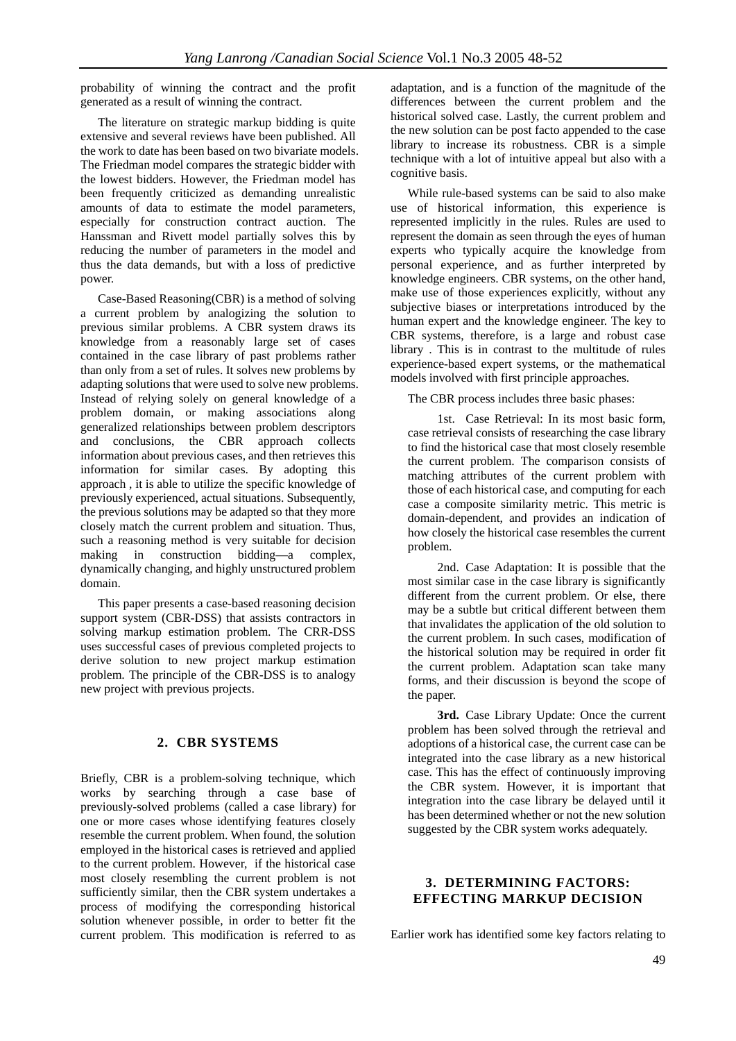probability of winning the contract and the profit generated as a result of winning the contract.

The literature on strategic markup bidding is quite extensive and several reviews have been published. All the work to date has been based on two bivariate models. The Friedman model compares the strategic bidder with the lowest bidders. However, the Friedman model has been frequently criticized as demanding unrealistic amounts of data to estimate the model parameters, especially for construction contract auction. The Hanssman and Rivett model partially solves this by reducing the number of parameters in the model and thus the data demands, but with a loss of predictive power.

Case-Based Reasoning(CBR) is a method of solving a current problem by analogizing the solution to previous similar problems. A CBR system draws its knowledge from a reasonably large set of cases contained in the case library of past problems rather than only from a set of rules. It solves new problems by adapting solutions that were used to solve new problems. Instead of relying solely on general knowledge of a problem domain, or making associations along generalized relationships between problem descriptors and conclusions, the CBR approach collects information about previous cases, and then retrieves this information for similar cases. By adopting this approach , it is able to utilize the specific knowledge of previously experienced, actual situations. Subsequently, the previous solutions may be adapted so that they more closely match the current problem and situation. Thus, such a reasoning method is very suitable for decision making in construction bidding—a complex, dynamically changing, and highly unstructured problem domain.

This paper presents a case-based reasoning decision support system (CBR-DSS) that assists contractors in solving markup estimation problem. The CRR-DSS uses successful cases of previous completed projects to derive solution to new project markup estimation problem. The principle of the CBR-DSS is to analogy new project with previous projects.

#### **2. CBR SYSTEMS**

Briefly, CBR is a problem-solving technique, which works by searching through a case base of previously-solved problems (called a case library) for one or more cases whose identifying features closely resemble the current problem. When found, the solution employed in the historical cases is retrieved and applied to the current problem. However, if the historical case most closely resembling the current problem is not sufficiently similar, then the CBR system undertakes a process of modifying the corresponding historical solution whenever possible, in order to better fit the current problem. This modification is referred to as adaptation, and is a function of the magnitude of the differences between the current problem and the historical solved case. Lastly, the current problem and the new solution can be post facto appended to the case library to increase its robustness. CBR is a simple technique with a lot of intuitive appeal but also with a cognitive basis.

While rule-based systems can be said to also make use of historical information, this experience is represented implicitly in the rules. Rules are used to represent the domain as seen through the eyes of human experts who typically acquire the knowledge from personal experience, and as further interpreted by knowledge engineers. CBR systems, on the other hand, make use of those experiences explicitly, without any subjective biases or interpretations introduced by the human expert and the knowledge engineer. The key to CBR systems, therefore, is a large and robust case library . This is in contrast to the multitude of rules experience-based expert systems, or the mathematical models involved with first principle approaches.

The CBR process includes three basic phases:

1st. Case Retrieval: In its most basic form, case retrieval consists of researching the case library to find the historical case that most closely resemble the current problem. The comparison consists of matching attributes of the current problem with those of each historical case, and computing for each case a composite similarity metric. This metric is domain-dependent, and provides an indication of how closely the historical case resembles the current problem.

2nd. Case Adaptation: It is possible that the most similar case in the case library is significantly different from the current problem. Or else, there may be a subtle but critical different between them that invalidates the application of the old solution to the current problem. In such cases, modification of the historical solution may be required in order fit the current problem. Adaptation scan take many forms, and their discussion is beyond the scope of the paper.

**3rd.** Case Library Update: Once the current problem has been solved through the retrieval and adoptions of a historical case, the current case can be integrated into the case library as a new historical case. This has the effect of continuously improving the CBR system. However, it is important that integration into the case library be delayed until it has been determined whether or not the new solution suggested by the CBR system works adequately.

### **3. DETERMINING FACTORS: EFFECTING MARKUP DECISION**

Earlier work has identified some key factors relating to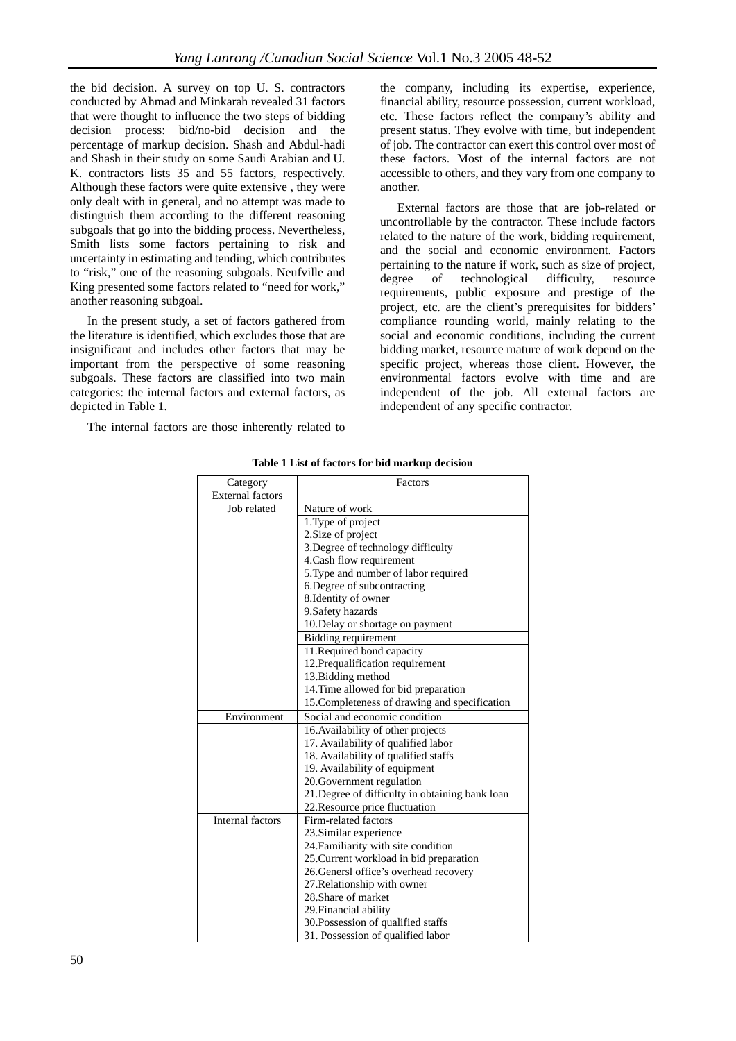the bid decision. A survey on top U. S. contractors conducted by Ahmad and Minkarah revealed 31 factors that were thought to influence the two steps of bidding decision process: bid/no-bid decision and the percentage of markup decision. Shash and Abdul-hadi and Shash in their study on some Saudi Arabian and U. K. contractors lists 35 and 55 factors, respectively. Although these factors were quite extensive , they were only dealt with in general, and no attempt was made to distinguish them according to the different reasoning subgoals that go into the bidding process. Nevertheless, Smith lists some factors pertaining to risk and uncertainty in estimating and tending, which contributes to "risk," one of the reasoning subgoals. Neufville and King presented some factors related to "need for work," another reasoning subgoal.

In the present study, a set of factors gathered from the literature is identified, which excludes those that are insignificant and includes other factors that may be important from the perspective of some reasoning subgoals. These factors are classified into two main categories: the internal factors and external factors, as depicted in Table 1.

The internal factors are those inherently related to

the company, including its expertise, experience, financial ability, resource possession, current workload, etc. These factors reflect the company's ability and present status. They evolve with time, but independent of job. The contractor can exert this control over most of these factors. Most of the internal factors are not accessible to others, and they vary from one company to another.

External factors are those that are job-related or uncontrollable by the contractor. These include factors related to the nature of the work, bidding requirement, and the social and economic environment. Factors pertaining to the nature if work, such as size of project,<br>degree of technological difficulty, resource  $degree$  of technological difficulty, requirements, public exposure and prestige of the project, etc. are the client's prerequisites for bidders' compliance rounding world, mainly relating to the social and economic conditions, including the current bidding market, resource mature of work depend on the specific project, whereas those client. However, the environmental factors evolve with time and are independent of the job. All external factors are independent of any specific contractor.

| Category                | Factors                                         |
|-------------------------|-------------------------------------------------|
| <b>External factors</b> |                                                 |
| Job related             | Nature of work                                  |
|                         | 1. Type of project                              |
|                         | 2. Size of project                              |
|                         | 3. Degree of technology difficulty              |
|                         | 4. Cash flow requirement                        |
|                         | 5. Type and number of labor required            |
|                         | 6. Degree of subcontracting                     |
|                         | 8. Identity of owner                            |
|                         | 9. Safety hazards                               |
|                         | 10. Delay or shortage on payment                |
|                         | Bidding requirement                             |
|                         | 11. Required bond capacity                      |
|                         | 12. Prequalification requirement                |
|                         | 13. Bidding method                              |
|                         | 14. Time allowed for bid preparation            |
|                         | 15. Completeness of drawing and specification   |
| Environment             | Social and economic condition                   |
|                         | 16. Availability of other projects              |
|                         | 17. Availability of qualified labor             |
|                         | 18. Availability of qualified staffs            |
|                         | 19. Availability of equipment                   |
|                         | 20. Government regulation                       |
|                         | 21. Degree of difficulty in obtaining bank loan |
|                         | 22. Resource price fluctuation                  |
| <b>Internal factors</b> | Firm-related factors                            |
|                         | 23. Similar experience                          |
|                         | 24. Familiarity with site condition             |
|                         | 25. Current workload in bid preparation         |
|                         | 26. Genersl office's overhead recovery          |
|                         | 27. Relationship with owner                     |
|                         | 28. Share of market                             |
|                         | 29. Financial ability                           |
|                         | 30. Possession of qualified staffs              |
|                         | 31. Possession of qualified labor               |

**Table 1 List of factors for bid markup decision**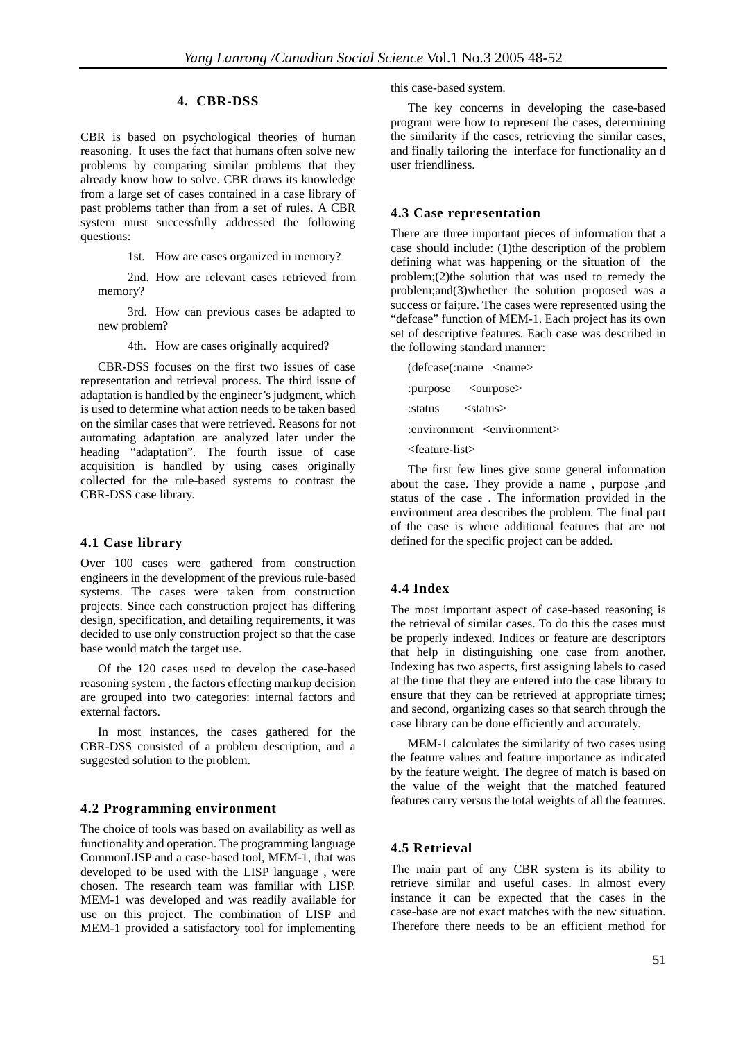#### **4. CBR-DSS**

CBR is based on psychological theories of human reasoning. It uses the fact that humans often solve new problems by comparing similar problems that they already know how to solve. CBR draws its knowledge from a large set of cases contained in a case library of past problems tather than from a set of rules. A CBR system must successfully addressed the following questions:

1st. How are cases organized in memory?

2nd. How are relevant cases retrieved from memory?

3rd. How can previous cases be adapted to new problem?

4th. How are cases originally acquired?

CBR-DSS focuses on the first two issues of case representation and retrieval process. The third issue of adaptation is handled by the engineer's judgment, which is used to determine what action needs to be taken based on the similar cases that were retrieved. Reasons for not automating adaptation are analyzed later under the heading "adaptation". The fourth issue of case acquisition is handled by using cases originally collected for the rule-based systems to contrast the CBR-DSS case library.

#### **4.1 Case library**

Over 100 cases were gathered from construction engineers in the development of the previous rule-based systems. The cases were taken from construction projects. Since each construction project has differing design, specification, and detailing requirements, it was decided to use only construction project so that the case base would match the target use.

Of the 120 cases used to develop the case-based reasoning system , the factors effecting markup decision are grouped into two categories: internal factors and external factors.

In most instances, the cases gathered for the CBR-DSS consisted of a problem description, and a suggested solution to the problem.

#### **4.2 Programming environment**

The choice of tools was based on availability as well as functionality and operation. The programming language CommonLISP and a case-based tool, MEM-1, that was developed to be used with the LISP language , were chosen. The research team was familiar with LISP. MEM-1 was developed and was readily available for use on this project. The combination of LISP and MEM-1 provided a satisfactory tool for implementing this case-based system.

The key concerns in developing the case-based program were how to represent the cases, determining the similarity if the cases, retrieving the similar cases, and finally tailoring the interface for functionality an d user friendliness.

#### **4.3 Case representation**

There are three important pieces of information that a case should include: (1)the description of the problem defining what was happening or the situation of the problem;(2)the solution that was used to remedy the problem;and(3)whether the solution proposed was a success or fai;ure. The cases were represented using the "defcase" function of MEM-1. Each project has its own set of descriptive features. Each case was described in the following standard manner:

(defcase(:name <name> :purpose < ourpose> :status <status> :environment <environment> <feature-list>

The first few lines give some general information about the case. They provide a name , purpose ,and status of the case . The information provided in the environment area describes the problem. The final part of the case is where additional features that are not defined for the specific project can be added.

#### **4.4 Index**

The most important aspect of case-based reasoning is the retrieval of similar cases. To do this the cases must be properly indexed. Indices or feature are descriptors that help in distinguishing one case from another. Indexing has two aspects, first assigning labels to cased at the time that they are entered into the case library to ensure that they can be retrieved at appropriate times; and second, organizing cases so that search through the case library can be done efficiently and accurately.

MEM-1 calculates the similarity of two cases using the feature values and feature importance as indicated by the feature weight. The degree of match is based on the value of the weight that the matched featured features carry versus the total weights of all the features.

#### **4.5 Retrieval**

The main part of any CBR system is its ability to retrieve similar and useful cases. In almost every instance it can be expected that the cases in the case-base are not exact matches with the new situation. Therefore there needs to be an efficient method for